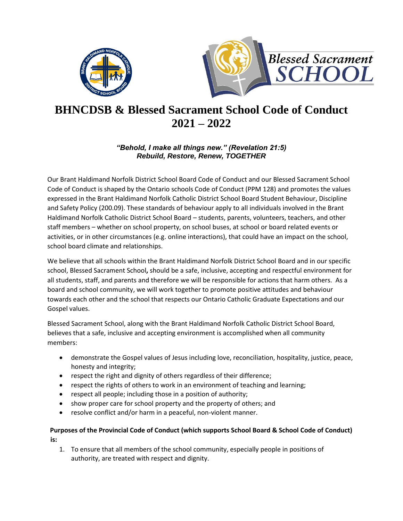



# **BHNCDSB & Blessed Sacrament School Code of Conduct 2021 – 2022**

# *"Behold, I make all things new." (Revelation 21:5) Rebuild, Restore, Renew, TOGETHER*

Our Brant Haldimand Norfolk District School Board Code of Conduct and our Blessed Sacrament School Code of Conduct is shaped by the Ontario schools Code of Conduct (PPM 128) and promotes the values expressed in the Brant Haldimand Norfolk Catholic District School Board Student Behaviour, Discipline and Safety Policy (200.09). These standards of behaviour apply to all individuals involved in the Brant Haldimand Norfolk Catholic District School Board – students, parents, volunteers, teachers, and other staff members – whether on school property, on school buses, at school or board related events or activities, or in other circumstances (e.g. online interactions), that could have an impact on the school, school board climate and relationships.

We believe that all schools within the Brant Haldimand Norfolk District School Board and in our specific school, Blessed Sacrament School**,** should be a safe, inclusive, accepting and respectful environment for all students, staff, and parents and therefore we will be responsible for actions that harm others. As a board and school community, we will work together to promote positive attitudes and behaviour towards each other and the school that respects our Ontario Catholic Graduate Expectations and our Gospel values.

Blessed Sacrament School, along with the Brant Haldimand Norfolk Catholic District School Board, believes that a safe, inclusive and accepting environment is accomplished when all community members:

- demonstrate the Gospel values of Jesus including love, reconciliation, hospitality, justice, peace, honesty and integrity;
- respect the right and dignity of others regardless of their difference;
- respect the rights of others to work in an environment of teaching and learning;
- respect all people; including those in a position of authority;
- show proper care for school property and the property of others; and
- resolve conflict and/or harm in a peaceful, non-violent manner.

# **Purposes of the Provincial Code of Conduct (which supports School Board & School Code of Conduct) is:**

1. To ensure that all members of the school community, especially people in positions of authority, are treated with respect and dignity.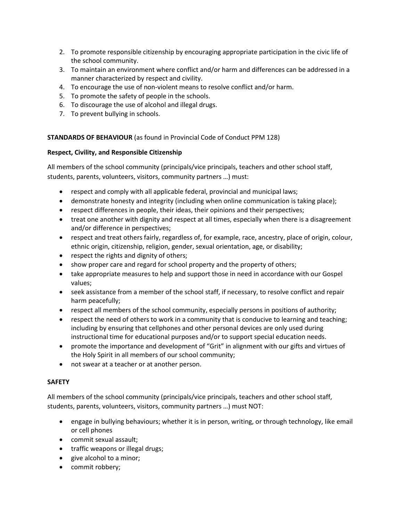- 2. To promote responsible citizenship by encouraging appropriate participation in the civic life of the school community.
- 3. To maintain an environment where conflict and/or harm and differences can be addressed in a manner characterized by respect and civility.
- 4. To encourage the use of non-violent means to resolve conflict and/or harm.
- 5. To promote the safety of people in the schools.
- 6. To discourage the use of alcohol and illegal drugs.
- 7. To prevent bullying in schools.

# **STANDARDS OF BEHAVIOUR** (as found in Provincial Code of Conduct PPM 128)

# **Respect, Civility, and Responsible Citizenship**

All members of the school community (principals/vice principals, teachers and other school staff, students, parents, volunteers, visitors, community partners …) must:

- respect and comply with all applicable federal, provincial and municipal laws;
- demonstrate honesty and integrity (including when online communication is taking place);
- respect differences in people, their ideas, their opinions and their perspectives;
- treat one another with dignity and respect at all times, especially when there is a disagreement and/or difference in perspectives;
- respect and treat others fairly, regardless of, for example, race, ancestry, place of origin, colour, ethnic origin, citizenship, religion, gender, sexual orientation, age, or disability;
- respect the rights and dignity of others;
- show proper care and regard for school property and the property of others;
- take appropriate measures to help and support those in need in accordance with our Gospel values;
- seek assistance from a member of the school staff, if necessary, to resolve conflict and repair harm peacefully;
- respect all members of the school community, especially persons in positions of authority;
- respect the need of others to work in a community that is conducive to learning and teaching; including by ensuring that cellphones and other personal devices are only used during instructional time for educational purposes and/or to support special education needs.
- promote the importance and development of "Grit" in alignment with our gifts and virtues of the Holy Spirit in all members of our school community;
- not swear at a teacher or at another person.

# **SAFETY**

All members of the school community (principals/vice principals, teachers and other school staff, students, parents, volunteers, visitors, community partners …) must NOT:

- engage in bullying behaviours; whether it is in person, writing, or through technology, like email or cell phones
- commit sexual assault;
- traffic weapons or illegal drugs;
- give alcohol to a minor;
- commit robbery;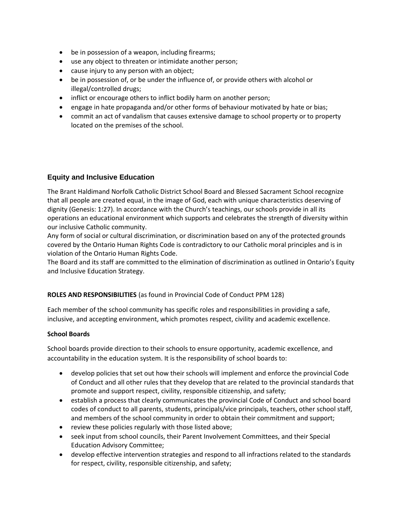- be in possession of a weapon, including firearms;
- use any object to threaten or intimidate another person;
- cause injury to any person with an object;
- be in possession of, or be under the influence of, or provide others with alcohol or illegal/controlled drugs;
- inflict or encourage others to inflict bodily harm on another person;
- engage in hate propaganda and/or other forms of behaviour motivated by hate or bias;
- commit an act of vandalism that causes extensive damage to school property or to property located on the premises of the school.

# **Equity and Inclusive Education**

The Brant Haldimand Norfolk Catholic District School Board and Blessed Sacrament School recognize that all people are created equal, in the image of God, each with unique characteristics deserving of dignity (Genesis: 1:27). In accordance with the Church's teachings, our schools provide in all its operations an educational environment which supports and celebrates the strength of diversity within our inclusive Catholic community.

Any form of social or cultural discrimination, or discrimination based on any of the protected grounds covered by the Ontario Human Rights Code is contradictory to our Catholic moral principles and is in violation of the Ontario Human Rights Code.

The Board and its staff are committed to the elimination of discrimination as outlined in Ontario's Equity and Inclusive Education Strategy.

## **ROLES AND RESPONSIBILITIES** (as found in Provincial Code of Conduct PPM 128)

Each member of the school community has specific roles and responsibilities in providing a safe, inclusive, and accepting environment, which promotes respect, civility and academic excellence.

## **School Boards**

School boards provide direction to their schools to ensure opportunity, academic excellence, and accountability in the education system. It is the responsibility of school boards to:

- develop policies that set out how their schools will implement and enforce the provincial Code of Conduct and all other rules that they develop that are related to the provincial standards that promote and support respect, civility, responsible citizenship, and safety;
- establish a process that clearly communicates the provincial Code of Conduct and school board codes of conduct to all parents, students, principals/vice principals, teachers, other school staff, and members of the school community in order to obtain their commitment and support;
- review these policies regularly with those listed above;
- seek input from school councils, their Parent Involvement Committees, and their Special Education Advisory Committee;
- develop effective intervention strategies and respond to all infractions related to the standards for respect, civility, responsible citizenship, and safety;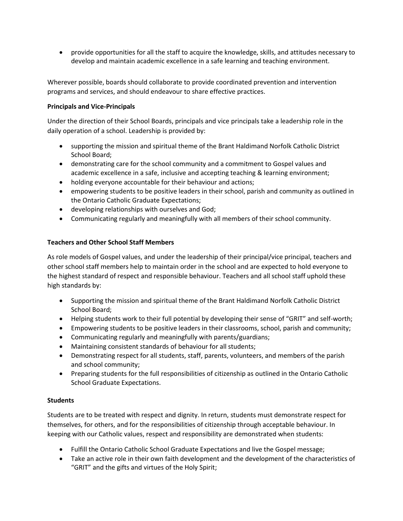• provide opportunities for all the staff to acquire the knowledge, skills, and attitudes necessary to develop and maintain academic excellence in a safe learning and teaching environment.

Wherever possible, boards should collaborate to provide coordinated prevention and intervention programs and services, and should endeavour to share effective practices.

## **Principals and Vice-Principals**

Under the direction of their School Boards, principals and vice principals take a leadership role in the daily operation of a school. Leadership is provided by:

- supporting the mission and spiritual theme of the Brant Haldimand Norfolk Catholic District School Board;
- demonstrating care for the school community and a commitment to Gospel values and academic excellence in a safe, inclusive and accepting teaching & learning environment;
- holding everyone accountable for their behaviour and actions;
- empowering students to be positive leaders in their school, parish and community as outlined in the Ontario Catholic Graduate Expectations;
- developing relationships with ourselves and God;
- Communicating regularly and meaningfully with all members of their school community.

## **Teachers and Other School Staff Members**

As role models of Gospel values, and under the leadership of their principal/vice principal, teachers and other school staff members help to maintain order in the school and are expected to hold everyone to the highest standard of respect and responsible behaviour. Teachers and all school staff uphold these high standards by:

- Supporting the mission and spiritual theme of the Brant Haldimand Norfolk Catholic District School Board;
- Helping students work to their full potential by developing their sense of "GRIT" and self-worth;
- Empowering students to be positive leaders in their classrooms, school, parish and community;
- Communicating regularly and meaningfully with parents/guardians;
- Maintaining consistent standards of behaviour for all students;
- Demonstrating respect for all students, staff, parents, volunteers, and members of the parish and school community;
- Preparing students for the full responsibilities of citizenship as outlined in the Ontario Catholic School Graduate Expectations.

## **Students**

Students are to be treated with respect and dignity. In return, students must demonstrate respect for themselves, for others, and for the responsibilities of citizenship through acceptable behaviour. In keeping with our Catholic values, respect and responsibility are demonstrated when students:

- Fulfill the Ontario Catholic School Graduate Expectations and live the Gospel message;
- Take an active role in their own faith development and the development of the characteristics of "GRIT" and the gifts and virtues of the Holy Spirit;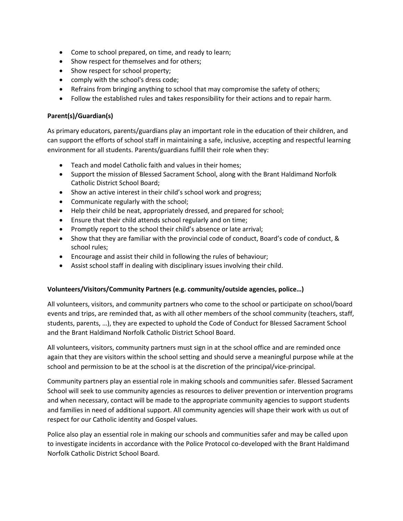- Come to school prepared, on time, and ready to learn;
- Show respect for themselves and for others;
- Show respect for school property;
- comply with the school's dress code;
- Refrains from bringing anything to school that may compromise the safety of others;
- Follow the established rules and takes responsibility for their actions and to repair harm.

## **Parent(s)/Guardian(s)**

As primary educators, parents/guardians play an important role in the education of their children, and can support the efforts of school staff in maintaining a safe, inclusive, accepting and respectful learning environment for all students. Parents/guardians fulfill their role when they:

- Teach and model Catholic faith and values in their homes;
- Support the mission of Blessed Sacrament School, along with the Brant Haldimand Norfolk Catholic District School Board;
- Show an active interest in their child's school work and progress;
- Communicate regularly with the school;
- Help their child be neat, appropriately dressed, and prepared for school;
- Ensure that their child attends school regularly and on time;
- Promptly report to the school their child's absence or late arrival;
- Show that they are familiar with the provincial code of conduct, Board's code of conduct, & school rules;
- Encourage and assist their child in following the rules of behaviour;
- Assist school staff in dealing with disciplinary issues involving their child.

# **Volunteers/Visitors/Community Partners (e.g. community/outside agencies, police…)**

All volunteers, visitors, and community partners who come to the school or participate on school/board events and trips, are reminded that, as with all other members of the school community (teachers, staff, students, parents, …), they are expected to uphold the Code of Conduct for Blessed Sacrament School and the Brant Haldimand Norfolk Catholic District School Board.

All volunteers, visitors, community partners must sign in at the school office and are reminded once again that they are visitors within the school setting and should serve a meaningful purpose while at the school and permission to be at the school is at the discretion of the principal/vice-principal.

Community partners play an essential role in making schools and communities safer. Blessed Sacrament School will seek to use community agencies as resources to deliver prevention or intervention programs and when necessary, contact will be made to the appropriate community agencies to support students and families in need of additional support. All community agencies will shape their work with us out of respect for our Catholic identity and Gospel values.

Police also play an essential role in making our schools and communities safer and may be called upon to investigate incidents in accordance with the Police Protocol co-developed with the Brant Haldimand Norfolk Catholic District School Board.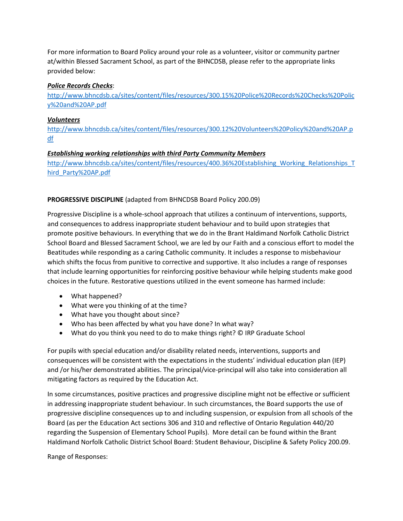For more information to Board Policy around your role as a volunteer, visitor or community partner at/within Blessed Sacrament School, as part of the BHNCDSB, please refer to the appropriate links provided below:

#### *Police Records Checks*:

[http://www.bhncdsb.ca/sites/content/files/resources/300.15%20Police%20Records%20Checks%20Polic](http://www.bhncdsb.ca/sites/content/files/resources/300.15%20Police%20Records%20Checks%20Policy%20and%20AP.pdf) [y%20and%20AP.pdf](http://www.bhncdsb.ca/sites/content/files/resources/300.15%20Police%20Records%20Checks%20Policy%20and%20AP.pdf)

## *Volunteers*

[http://www.bhncdsb.ca/sites/content/files/resources/300.12%20Volunteers%20Policy%20and%20AP.p](http://www.bhncdsb.ca/sites/content/files/resources/300.12%20Volunteers%20Policy%20and%20AP.pdf) [df](http://www.bhncdsb.ca/sites/content/files/resources/300.12%20Volunteers%20Policy%20and%20AP.pdf)

## *Establishing working relationships with third Party Community Members*

[http://www.bhncdsb.ca/sites/content/files/resources/400.36%20Establishing\\_Working\\_Relationships\\_T](http://www.bhncdsb.ca/sites/content/files/resources/400.36%20Establishing_Working_Relationships_Third_Party%20AP.pdf)\_ [hird\\_Party%20AP.pdf](http://www.bhncdsb.ca/sites/content/files/resources/400.36%20Establishing_Working_Relationships_Third_Party%20AP.pdf)

## **PROGRESSIVE DISCIPLINE** (adapted from BHNCDSB Board Policy 200.09)

Progressive Discipline is a whole-school approach that utilizes a continuum of interventions, supports, and consequences to address inappropriate student behaviour and to build upon strategies that promote positive behaviours. In everything that we do in the Brant Haldimand Norfolk Catholic District School Board and Blessed Sacrament School, we are led by our Faith and a conscious effort to model the Beatitudes while responding as a caring Catholic community. It includes a response to misbehaviour which shifts the focus from punitive to corrective and supportive. It also includes a range of responses that include learning opportunities for reinforcing positive behaviour while helping students make good choices in the future. Restorative questions utilized in the event someone has harmed include:

- What happened?
- What were you thinking of at the time?
- What have you thought about since?
- Who has been affected by what you have done? In what way?
- What do you think you need to do to make things right? © IRP Graduate School

For pupils with special education and/or disability related needs, interventions, supports and consequences will be consistent with the expectations in the students' individual education plan (IEP) and /or his/her demonstrated abilities. The principal/vice-principal will also take into consideration all mitigating factors as required by the Education Act.

In some circumstances, positive practices and progressive discipline might not be effective or sufficient in addressing inappropriate student behaviour. In such circumstances, the Board supports the use of progressive discipline consequences up to and including suspension, or expulsion from all schools of the Board (as per the Education Act sections 306 and 310 and reflective of Ontario Regulation 440/20 regarding the Suspension of Elementary School Pupils). More detail can be found within the Brant Haldimand Norfolk Catholic District School Board: Student Behaviour, Discipline & Safety Policy 200.09.

Range of Responses: